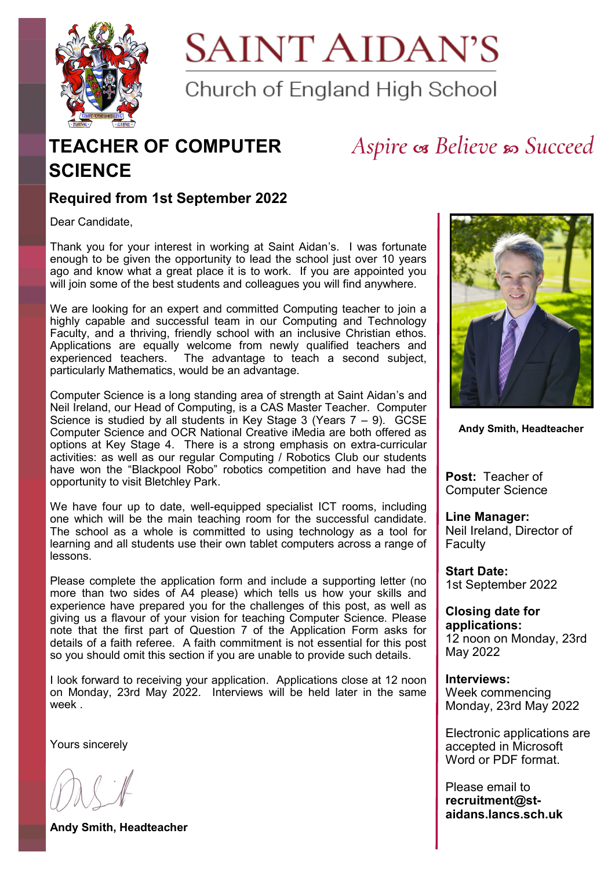

**SAINT AIDAN'S** 

Church of England High School

## **TEACHER OF COMPUTER SCIENCE**

## Aspire os Believe so Succeed

### **Required from 1st September 2022**

Dear Candidate,

Thank you for your interest in working at Saint Aidan's. I was fortunate enough to be given the opportunity to lead the school just over 10 years ago and know what a great place it is to work. If you are appointed you will join some of the best students and colleagues you will find anywhere.

We are looking for an expert and committed Computing teacher to join a highly capable and successful team in our Computing and Technology Faculty, and a thriving, friendly school with an inclusive Christian ethos. Applications are equally welcome from newly qualified teachers and experienced teachers. The advantage to teach a second subject, particularly Mathematics, would be an advantage.

Computer Science is a long standing area of strength at Saint Aidan's and Neil Ireland, our Head of Computing, is a CAS Master Teacher. Computer Science is studied by all students in Key Stage 3 (Years  $7 - 9$ ). GCSE Computer Science and OCR National Creative iMedia are both offered as options at Key Stage 4. There is a strong emphasis on extra-curricular activities: as well as our regular Computing / Robotics Club our students have won the "Blackpool Robo" robotics competition and have had the opportunity to visit Bletchley Park.

We have four up to date, well-equipped specialist ICT rooms, including one which will be the main teaching room for the successful candidate. The school as a whole is committed to using technology as a tool for learning and all students use their own tablet computers across a range of lessons.

Please complete the application form and include a supporting letter (no more than two sides of A4 please) which tells us how your skills and experience have prepared you for the challenges of this post, as well as giving us a flavour of your vision for teaching Computer Science. Please note that the first part of Question 7 of the Application Form asks for details of a faith referee. A faith commitment is not essential for this post so you should omit this section if you are unable to provide such details.

I look forward to receiving your application. Applications close at 12 noon on Monday, 23rd May 2022. Interviews will be held later in the same week .

Yours sincerely

**Andy Smith, Headteacher**



**Andy Smith, Headteacher**

**Post:** Teacher of Computer Science

**Line Manager:**  Neil Ireland, Director of Faculty

**Start Date:**  1st September 2022

**Closing date for applications:**  12 noon on Monday, 23rd May 2022

**Interviews:** Week commencing Monday, 23rd May 2022

Electronic applications are accepted in Microsoft Word or PDF format.

Please email to **recruitment@staidans.lancs.sch.uk**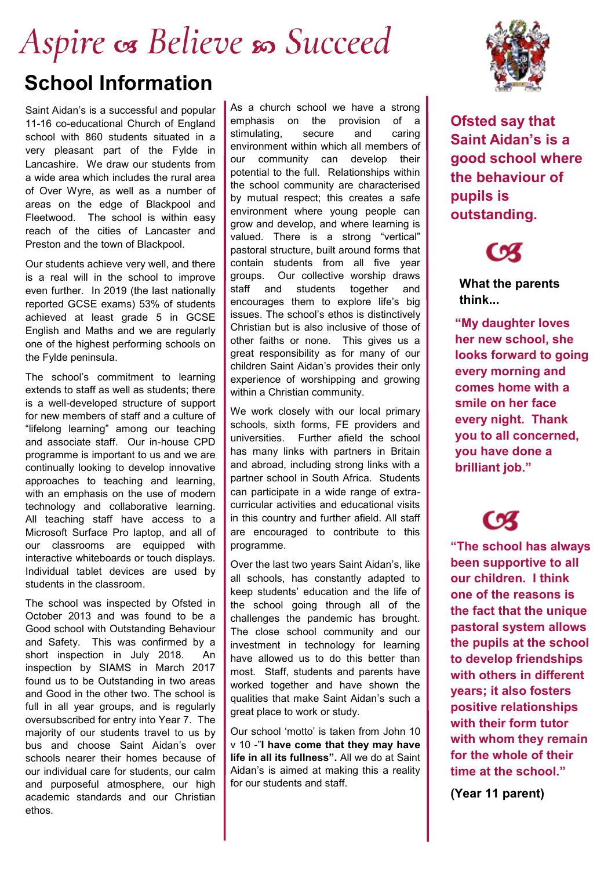# Aspire os Believe so Succeed **School Information**

Saint Aidan's is a successful and popular 11-16 co-educational Church of England school with 860 students situated in a very pleasant part of the Fylde in Lancashire. We draw our students from a wide area which includes the rural area of Over Wyre, as well as a number of areas on the edge of Blackpool and Fleetwood. The school is within easy reach of the cities of Lancaster and Preston and the town of Blackpool.

Our students achieve very well, and there is a real will in the school to improve even further. In 2019 (the last nationally reported GCSE exams) 53% of students achieved at least grade 5 in GCSE English and Maths and we are regularly one of the highest performing schools on the Fylde peninsula.

The school's commitment to learning extends to staff as well as students; there is a well-developed structure of support for new members of staff and a culture of "lifelong learning" among our teaching and associate staff. Our in-house CPD programme is important to us and we are continually looking to develop innovative approaches to teaching and learning, with an emphasis on the use of modern technology and collaborative learning. All teaching staff have access to a Microsoft Surface Pro laptop, and all of our classrooms are equipped with interactive whiteboards or touch displays. Individual tablet devices are used by students in the classroom.

The school was inspected by Ofsted in October 2013 and was found to be a Good school with Outstanding Behaviour and Safety. This was confirmed by a short inspection in July 2018. An inspection by SIAMS in March 2017 found us to be Outstanding in two areas and Good in the other two. The school is full in all year groups, and is regularly oversubscribed for entry into Year 7. The majority of our students travel to us by bus and choose Saint Aidan's over schools nearer their homes because of our individual care for students, our calm and purposeful atmosphere, our high academic standards and our Christian ethos.

As a church school we have a strong emphasis on the provision of a stimulating, secure and caring environment within which all members of our community can develop their potential to the full. Relationships within the school community are characterised by mutual respect; this creates a safe environment where young people can grow and develop, and where learning is valued. There is a strong "vertical" pastoral structure, built around forms that contain students from all five year groups. Our collective worship draws staff and students together and encourages them to explore life's big issues. The school's ethos is distinctively Christian but is also inclusive of those of other faiths or none. This gives us a great responsibility as for many of our children Saint Aidan's provides their only experience of worshipping and growing within a Christian community.

We work closely with our local primary schools, sixth forms, FE providers and universities. Further afield the school has many links with partners in Britain and abroad, including strong links with a partner school in South Africa. Students can participate in a wide range of extracurricular activities and educational visits in this country and further afield. All staff are encouraged to contribute to this programme.

Over the last two years Saint Aidan's, like all schools, has constantly adapted to keep students' education and the life of the school going through all of the challenges the pandemic has brought. The close school community and our investment in technology for learning have allowed us to do this better than most. Staff, students and parents have worked together and have shown the qualities that make Saint Aidan's such a great place to work or study.

Our school 'motto' is taken from John 10 v 10 -"**I have come that they may have life in all its fullness".** All we do at Saint Aidan's is aimed at making this a reality for our students and staff.



**Ofsted say that Saint Aidan's is a good school where the behaviour of pupils is outstanding.**



**What the parents think...**

**"My daughter loves her new school, she looks forward to going every morning and comes home with a smile on her face every night. Thank you to all concerned, you have done a brilliant job."**

**"The school has always been supportive to all our children. I think one of the reasons is the fact that the unique pastoral system allows the pupils at the school to develop friendships with others in different years; it also fosters positive relationships with their form tutor with whom they remain for the whole of their time at the school."** 

**(Year 11 parent)**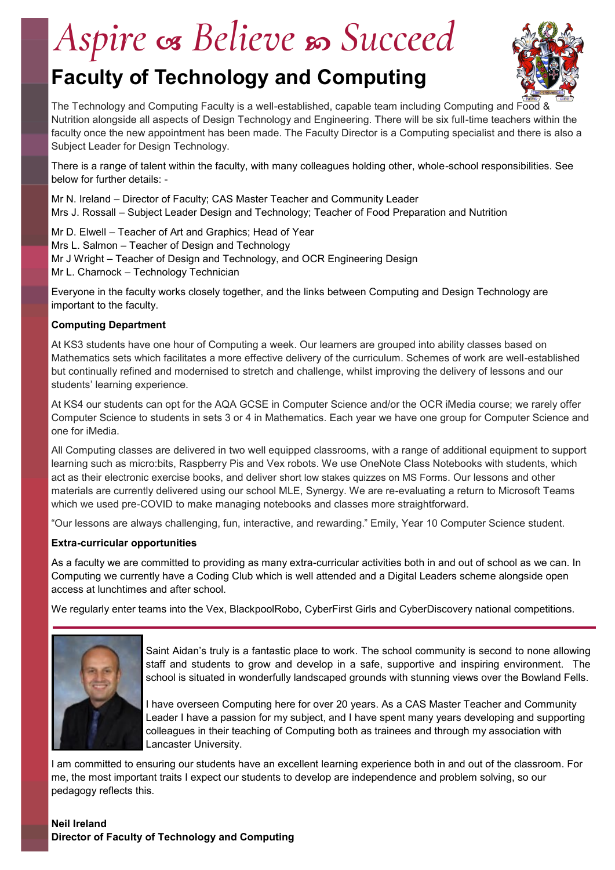# Aspire os Believe so Succeed

## **Faculty of Technology and Computing**



The Technology and Computing Faculty is a well-established, capable team including Computing and Food & Nutrition alongside all aspects of Design Technology and Engineering. There will be six full-time teachers within the faculty once the new appointment has been made. The Faculty Director is a Computing specialist and there is also a Subject Leader for Design Technology.

There is a range of talent within the faculty, with many colleagues holding other, whole-school responsibilities. See below for further details: -

Mr N. Ireland – Director of Faculty; CAS Master Teacher and Community Leader Mrs J. Rossall – Subject Leader Design and Technology; Teacher of Food Preparation and Nutrition

Mr D. Elwell – Teacher of Art and Graphics; Head of Year Mrs L. Salmon – Teacher of Design and Technology Mr J Wright – Teacher of Design and Technology, and OCR Engineering Design Mr L. Charnock – Technology Technician

Everyone in the faculty works closely together, and the links between Computing and Design Technology are important to the faculty.

#### **Computing Department**

At KS3 students have one hour of Computing a week. Our learners are grouped into ability classes based on Mathematics sets which facilitates a more effective delivery of the curriculum. Schemes of work are well-established but continually refined and modernised to stretch and challenge, whilst improving the delivery of lessons and our students' learning experience.

At KS4 our students can opt for the AQA GCSE in Computer Science and/or the OCR iMedia course; we rarely offer Computer Science to students in sets 3 or 4 in Mathematics. Each year we have one group for Computer Science and one for iMedia.

All Computing classes are delivered in two well equipped classrooms, with a range of additional equipment to support learning such as micro:bits, Raspberry Pis and Vex robots. We use OneNote Class Notebooks with students, which act as their electronic exercise books, and deliver short low stakes quizzes on MS Forms. Our lessons and other materials are currently delivered using our school MLE, Synergy. We are re-evaluating a return to Microsoft Teams which we used pre-COVID to make managing notebooks and classes more straightforward.

"Our lessons are always challenging, fun, interactive, and rewarding." Emily, Year 10 Computer Science student.

#### **Extra-curricular opportunities**

As a faculty we are committed to providing as many extra-curricular activities both in and out of school as we can. In Computing we currently have a Coding Club which is well attended and a Digital Leaders scheme alongside open access at lunchtimes and after school.

We regularly enter teams into the Vex, BlackpoolRobo, CyberFirst Girls and CyberDiscovery national competitions.



Saint Aidan's truly is a fantastic place to work. The school community is second to none allowing staff and students to grow and develop in a safe, supportive and inspiring environment. The school is situated in wonderfully landscaped grounds with stunning views over the Bowland Fells.

I have overseen Computing here for over 20 years. As a CAS Master Teacher and Community Leader I have a passion for my subject, and I have spent many years developing and supporting colleagues in their teaching of Computing both as trainees and through my association with Lancaster University.

I am committed to ensuring our students have an excellent learning experience both in and out of the classroom. For me, the most important traits I expect our students to develop are independence and problem solving, so our pedagogy reflects this.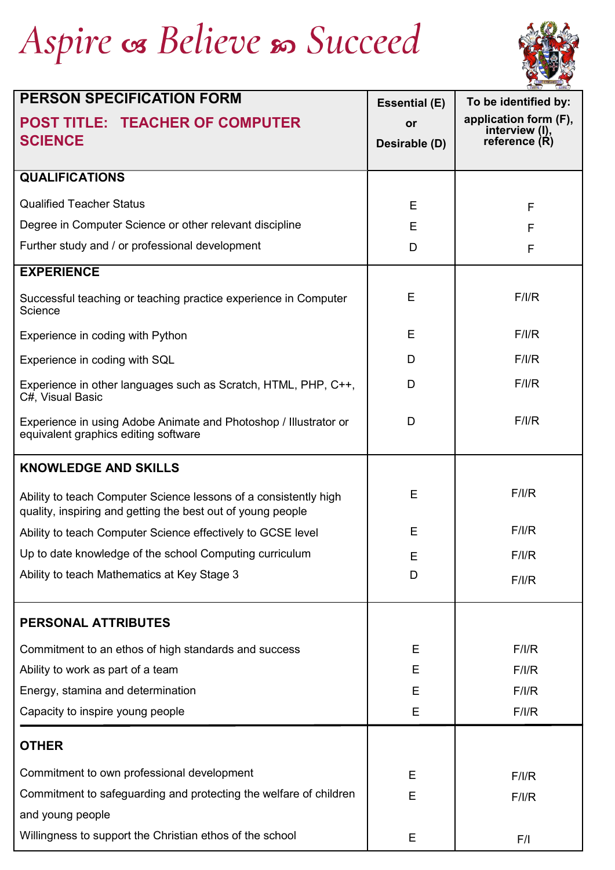# Aspire os Believe so Succeed



| <b>PERSON SPECIFICATION FORM</b>                                                                                                | <b>Essential (E)</b> | To be identified by:                    |
|---------------------------------------------------------------------------------------------------------------------------------|----------------------|-----------------------------------------|
| <b>POST TITLE: TEACHER OF COMPUTER</b>                                                                                          | or                   | application form (F),<br>interview (I), |
| <b>SCIENCE</b>                                                                                                                  | Desirable (D)        | reference (R)                           |
| <b>QUALIFICATIONS</b>                                                                                                           |                      |                                         |
| <b>Qualified Teacher Status</b>                                                                                                 | E                    | F                                       |
| Degree in Computer Science or other relevant discipline                                                                         | E                    | F                                       |
| Further study and / or professional development                                                                                 | D                    | F                                       |
| <b>EXPERIENCE</b>                                                                                                               |                      |                                         |
| Successful teaching or teaching practice experience in Computer<br>Science                                                      | Е                    | F/I/R                                   |
| Experience in coding with Python                                                                                                | E                    | F/I/R                                   |
| Experience in coding with SQL                                                                                                   | D                    | F/I/R                                   |
| Experience in other languages such as Scratch, HTML, PHP, C++,<br>C#, Visual Basic                                              | D                    | F/I/R                                   |
| Experience in using Adobe Animate and Photoshop / Illustrator or<br>equivalent graphics editing software                        | D                    | F/I/R                                   |
| <b>KNOWLEDGE AND SKILLS</b>                                                                                                     |                      |                                         |
| Ability to teach Computer Science lessons of a consistently high<br>quality, inspiring and getting the best out of young people | E                    | F/I/R                                   |
| Ability to teach Computer Science effectively to GCSE level                                                                     | E                    | F/I/R                                   |
| Up to date knowledge of the school Computing curriculum                                                                         | Е                    | F/I/R                                   |
| Ability to teach Mathematics at Key Stage 3                                                                                     | D                    | F/I/R                                   |
| PERSONAL ATTRIBUTES                                                                                                             |                      |                                         |
| Commitment to an ethos of high standards and success                                                                            | Е                    | F/I/R                                   |
| Ability to work as part of a team                                                                                               | Ε                    | F/I/R                                   |
| Energy, stamina and determination                                                                                               | E                    | F/IR                                    |
| Capacity to inspire young people                                                                                                | E                    | F/I/R                                   |
| <b>OTHER</b>                                                                                                                    |                      |                                         |
| Commitment to own professional development                                                                                      | Ε                    | F/I/R                                   |
| Commitment to safeguarding and protecting the welfare of children                                                               | E                    | F/I/R                                   |
| and young people                                                                                                                |                      |                                         |
| Willingness to support the Christian ethos of the school                                                                        | Е                    | F/I                                     |